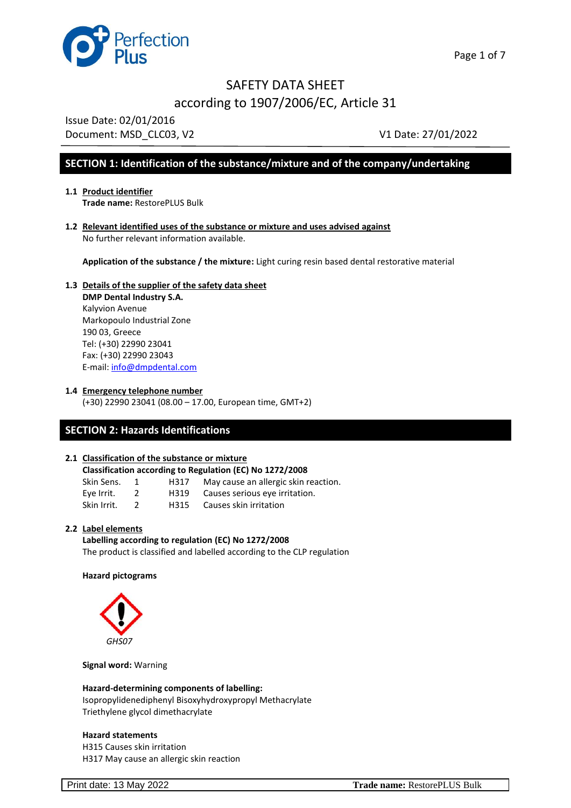

Issue Date: 02/01/2016 Document: MSD CLC03, V2 V1 Date: 27/01/2022

## **SECTION 1: Identification of the substance/mixture and of the company/undertaking**

- **1.1 Product identifier Trade name:** RestorePLUS Bulk
- **1.2 Relevant identified uses of the substance or mixture and uses advised against**  No further relevant information available.

**Application of the substance / the mixture:** Light curing resin based dental restorative material

## **1.3 Details of the supplier of the safety data sheet DMP Dental Industry S.A.**

Kalyvion Avenue Markopoulo Industrial Zone 190 03, Greece Tel: (+30) 22990 23041 Fax: (+30) 22990 23043 E-mail: [info@dmpdental.com](mailto:info@dmpdental.com) 

**1.4 Emergency telephone number**

(+30) 22990 23041 (08.00 – 17.00, European time, GMT+2)

## **SECTION 2: Hazards Identifications**

## **2.1 Classification of the substance or mixture**

| <b>Classification according to Regulation (EC) No 1272/2008</b> |  |
|-----------------------------------------------------------------|--|
|-----------------------------------------------------------------|--|

| Skin Sens. | H317 | May cause an allergic skin reaction. |
|------------|------|--------------------------------------|
| Fye Irrit  | H319 | Causes serious eve irritation        |

Eye Irrit. 2 H319 Causes serious eye irritation.<br>Skin Irrit. 2 H315 Causes skin irritation H315 Causes skin irritation

#### **2.2 Label elements**

**Labelling according to regulation (EC) No 1272/2008** The product is classified and labelled according to the CLP regulation

#### **Hazard pictograms**



**Signal word:** Warning

**Hazard-determining components of labelling:** Isopropylidenediphenyl Bisoxyhydroxypropyl Methacrylate Triethylene glycol dimethacrylate

#### **Hazard statements**

H315 Causes skin irritation H317 May cause an allergic skin reaction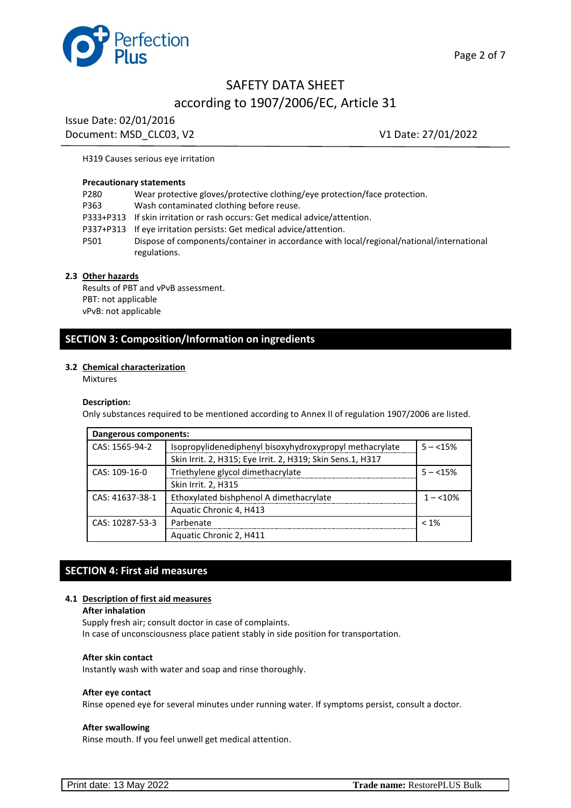

Issue Date: 02/01/2016 Document: MSD\_CLC03, V2 V1 Date: 27/01/2022

#### H319 Causes serious eye irritation

#### **Precautionary statements**

| P280 | Wear protective gloves/protective clothing/eye protection/face protection.                               |
|------|----------------------------------------------------------------------------------------------------------|
| P363 | Wash contaminated clothing before reuse.                                                                 |
|      | P333+P313 If skin irritation or rash occurs: Get medical advice/attention.                               |
|      | P337+P313 If eye irritation persists: Get medical advice/attention.                                      |
| P501 | Dispose of components/container in accordance with local/regional/national/international<br>regulations. |
|      |                                                                                                          |

#### **2.3 Other hazards**

Results of PBT and νPνB assessment. PBT: not applicable νPνB: not applicable

## **SECTION 3: Composition/Information on ingredients**

#### **3.2 Chemical characterization**

Mixtures

#### **Description:**

Only substances required to be mentioned according to Annex II of regulation 1907/2006 are listed.

| Dangerous components: |                                                            |            |
|-----------------------|------------------------------------------------------------|------------|
| CAS: 1565-94-2        | Isopropylidenediphenyl bisoxyhydroxypropyl methacrylate    | $5 - 15%$  |
|                       | Skin Irrit. 2, H315; Eye Irrit. 2, H319; Skin Sens.1, H317 |            |
| CAS: 109-16-0         | Triethylene glycol dimethacrylate                          | $5 - 15\%$ |
|                       | Skin Irrit. 2, H315                                        |            |
| CAS: 41637-38-1       | Ethoxylated bishphenol A dimethacrylate                    | $1 - 10\%$ |
|                       | Aquatic Chronic 4, H413                                    |            |
| CAS: 10287-53-3       | Parbenate                                                  | $< 1\%$    |
|                       | Aquatic Chronic 2, H411                                    |            |

## **SECTION 4: First aid measures**

#### **4.1 Description of first aid measures**

#### **After inhalation**

Supply fresh air; consult doctor in case of complaints.

In case of unconsciousness place patient stably in side position for transportation.

#### **After skin contact**

Instantly wash with water and soap and rinse thoroughly.

#### **After eye contact**

Rinse opened eye for several minutes under running water. If symptoms persist, consult a doctor.

#### **After swallowing**

Rinse mouth. If you feel unwell get medical attention.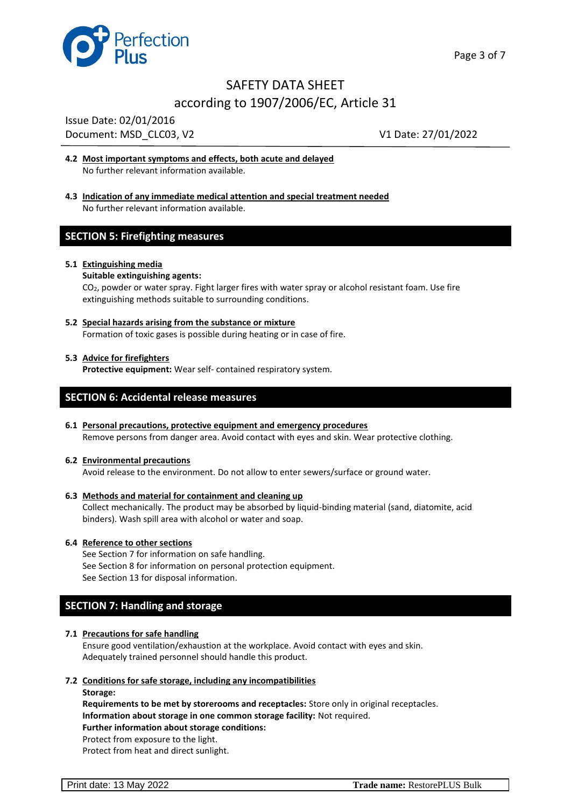

Issue Date: 02/01/2016 Document: MSD CLC03, V2 V1 Date: 27/01/2022

- **4.2 Most important symptoms and effects, both acute and delayed** No further relevant information available.
- **4.3 Indication of any immediate medical attention and special treatment needed** No further relevant information available.

## **SECTION 5: Firefighting measures**

#### **5.1 Extinguishing media**

#### **Suitable extinguishing agents:**

CO2, powder or water spray. Fight larger fires with water spray or alcohol resistant foam. Use fire extinguishing methods suitable to surrounding conditions.

**5.2 Special hazards arising from the substance or mixture** Formation of toxic gases is possible during heating or in case of fire.

#### **5.3 Advice for firefighters**

**Protective equipment:** Wear self- contained respiratory system.

## **SECTION 6: Accidental release measures**

## **6.1 Personal precautions, protective equipment and emergency procedures**

Remove persons from danger area. Avoid contact with eyes and skin. Wear protective clothing.

#### **6.2 Environmental precautions**

Avoid release to the environment. Do not allow to enter sewers/surface or ground water.

#### **6.3 Methods and material for containment and cleaning up**

Collect mechanically. The product may be absorbed by liquid-binding material (sand, diatomite, acid binders). Wash spill area with alcohol or water and soap.

#### **6.4 Reference to other sections**

See Section 7 for information on safe handling. See Section 8 for information on personal protection equipment. See Section 13 for disposal information.

## **SECTION 7: Handling and storage**

#### **7.1 Precautions for safe handling**

Ensure good ventilation/exhaustion at the workplace. Avoid contact with eyes and skin. Adequately trained personnel should handle this product.

#### **7.2 Conditions for safe storage, including any incompatibilities**

**Storage:**

**Requirements to be met by storerooms and receptacles:** Store only in original receptacles. **Information about storage in one common storage facility:** Not required. **Further information about storage conditions:** Protect from exposure to the light.

Protect from heat and direct sunlight.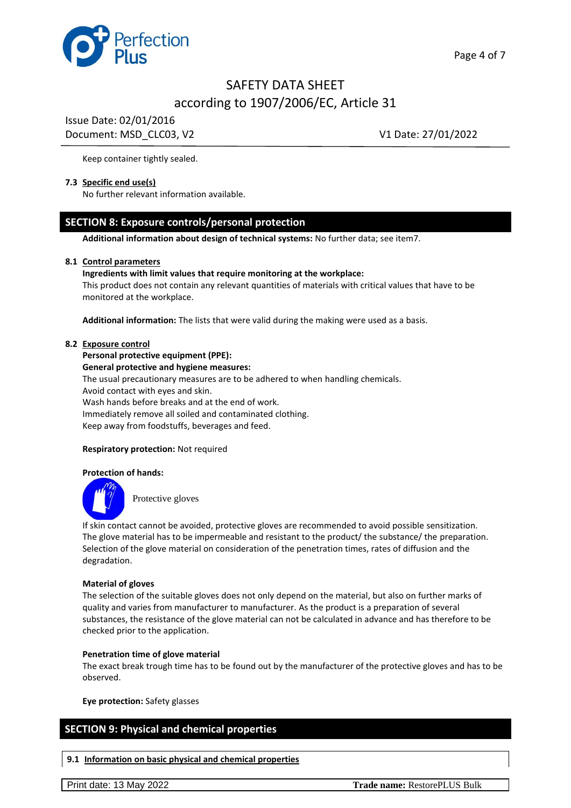

Issue Date: 02/01/2016 Document: MSD CLC03, V2 V1 Date: 27/01/2022

Keep container tightly sealed.

#### **7.3 Specific end use(s)**

No further relevant information available.

## **SECTION 8: Exposure controls/personal protection**

**Additional information about design of technical systems:** No further data; see item7.

#### **8.1 Control parameters**

#### **Ingredients with limit values that require monitoring at the workplace:**

This product does not contain any relevant quantities of materials with critical values that have to be monitored at the workplace.

**Additional information:** The lists that were valid during the making were used as a basis.

#### **8.2 Exposure control**

#### **Personal protective equipment (PPE):**

**General protective and hygiene measures:**

The usual precautionary measures are to be adhered to when handling chemicals.

Avoid contact with eyes and skin.

Wash hands before breaks and at the end of work. Immediately remove all soiled and contaminated clothing. Keep away from foodstuffs, beverages and feed.

#### **Respiratory protection:** Not required

#### **Protection of hands:**



Protective gloves

If skin contact cannot be avoided, protective gloves are recommended to avoid possible sensitization. The glove material has to be impermeable and resistant to the product/ the substance/ the preparation. Selection of the glove material on consideration of the penetration times, rates of diffusion and the degradation.

#### **Material of gloves**

The selection of the suitable gloves does not only depend on the material, but also on further marks of quality and varies from manufacturer to manufacturer. As the product is a preparation of several substances, the resistance of the glove material can not be calculated in advance and has therefore to be checked prior to the application.

#### **Penetration time of glove material**

The exact break trough time has to be found out by the manufacturer of the protective gloves and has to be observed.

**Eye protection:** Safety glasses

## **SECTION 9: Physical and chemical properties**

**9.1 Information on basic physical and chemical properties**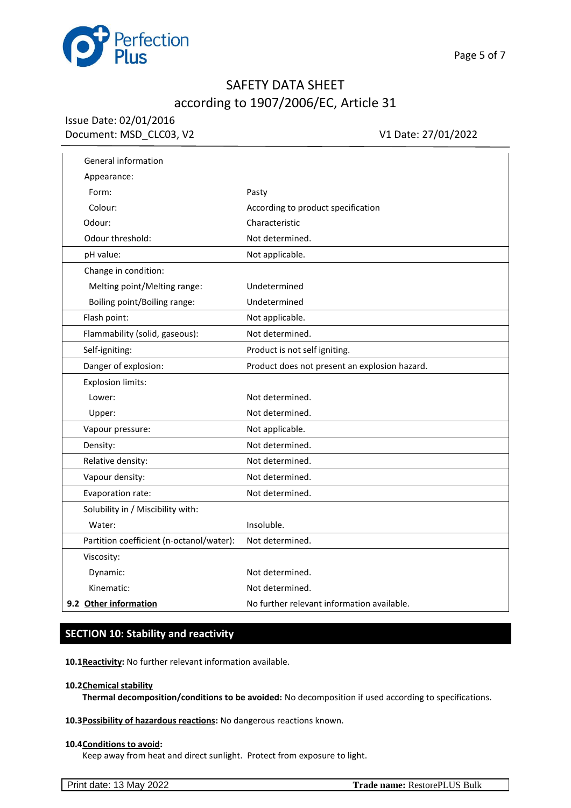

## Issue Date: 02/01/2016 Document: MSD\_CLC03, V2 V1 Date: 27/01/2022

l.

| General information                      |                                               |
|------------------------------------------|-----------------------------------------------|
| Appearance:                              |                                               |
| Form:                                    | Pasty                                         |
| Colour:                                  | According to product specification            |
| Odour:                                   | Characteristic                                |
| Odour threshold:                         | Not determined.                               |
| pH value:                                | Not applicable.                               |
| Change in condition:                     |                                               |
| Melting point/Melting range:             | Undetermined                                  |
| Boiling point/Boiling range:             | Undetermined                                  |
| Flash point:                             | Not applicable.                               |
| Flammability (solid, gaseous):           | Not determined.                               |
| Self-igniting:                           | Product is not self igniting.                 |
| Danger of explosion:                     | Product does not present an explosion hazard. |
| <b>Explosion limits:</b>                 |                                               |
| Lower:                                   | Not determined.                               |
| Upper:                                   | Not determined.                               |
| Vapour pressure:                         | Not applicable.                               |
| Density:                                 | Not determined.                               |
| Relative density:                        | Not determined.                               |
| Vapour density:                          | Not determined.                               |
| Evaporation rate:                        | Not determined.                               |
| Solubility in / Miscibility with:        |                                               |
| Water:                                   | Insoluble.                                    |
| Partition coefficient (n-octanol/water): | Not determined.                               |
| Viscosity:                               |                                               |
| Dynamic:                                 | Not determined.                               |
| Kinematic:                               | Not determined.                               |
| 9.2 Other information                    | No further relevant information available.    |

## **SECTION 10: Stability and reactivity**

**10.1Reactivity:** No further relevant information available.

#### **10.2Chemical stability**

**Thermal decomposition/conditions to be avoided:** No decomposition if used according to specifications.

### **10.3Possibility of hazardous reactions:** No dangerous reactions known.

#### **10.4Conditions to avoid:**

Keep away from heat and direct sunlight. Protect from exposure to light.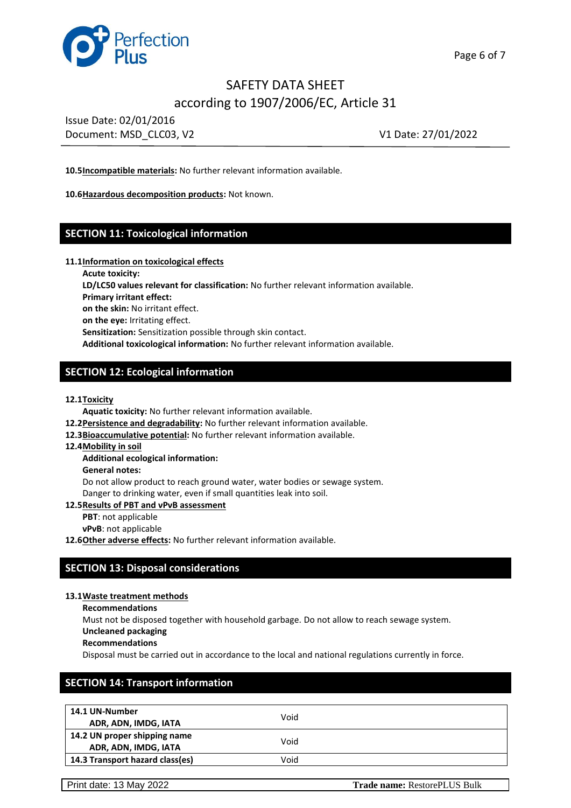

Issue Date: 02/01/2016 Document: MSD\_CLC03, V2 V1 Date: 27/01/2022

**10.5Incompatible materials:** No further relevant information available.

**10.6Hazardous decomposition products:** Not known.

## **SECTION 11: Toxicological information**

#### **11.1Information on toxicological effects**

**Acute toxicity:**

**LD/LC50 values relevant for classification:** No further relevant information available.

**Primary irritant effect:**

**on the skin:** No irritant effect.

**on the eye:** Irritating effect.

**Sensitization:** Sensitization possible through skin contact.

**Additional toxicological information:** No further relevant information available.

## **SECTION 12: Ecological information**

**12.1Toxicity**

**Aquatic toxicity:** No further relevant information available.

- **12.2Persistence and degradability:** No further relevant information available.
- **12.3Bioaccumulative potential:** No further relevant information available.
- **12.4Mobility in soil**

#### **Additional ecological information:**

**General notes:**

Do not allow product to reach ground water, water bodies or sewage system. Danger to drinking water, even if small quantities leak into soil.

**12.5Results of PBT and νPνB assessment**

**PBT**: not applicable

**νPνB**: not applicable

12.6 Other adverse effects: No further relevant information available.

## **SECTION 13: Disposal considerations**

#### **13.1Waste treatment methods**

**Recommendations**

Must not be disposed together with household garbage. Do not allow to reach sewage system.

- **Uncleaned packaging**
- **Recommendations**

Disposal must be carried out in accordance to the local and national regulations currently in force.

## **SECTION 14: Transport information**

| 14.1 UN-Number<br>ADR, ADN, IMDG, IATA               | Void |  |
|------------------------------------------------------|------|--|
| 14.2 UN proper shipping name<br>ADR, ADN, IMDG, IATA | Void |  |
| 14.3 Transport hazard class(es)                      | Void |  |